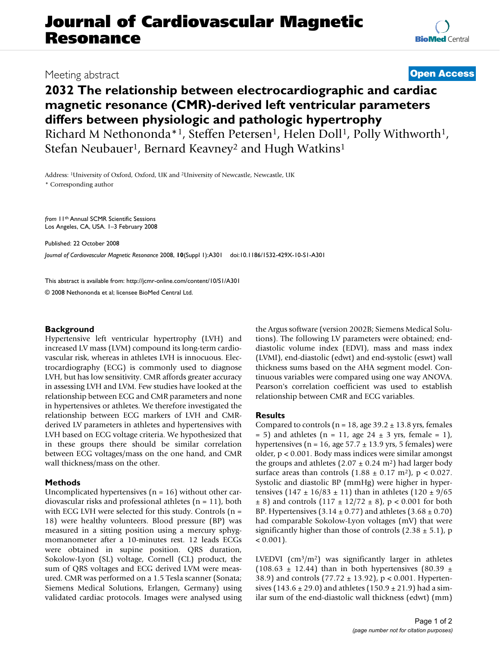# **Journal of Cardiovascular Magnetic Resonance**

## **2032 The relationship between electrocardiographic and cardiac magnetic resonance (CMR)-derived left ventricular parameters differs between physiologic and pathologic hypertrophy**

Richard M Nethononda\*1, Steffen Petersen<sup>1</sup>, Helen Doll<sup>1</sup>, Polly Withworth<sup>1</sup>, Stefan Neubauer<sup>1</sup>, Bernard Keavney<sup>2</sup> and Hugh Watkins<sup>1</sup>

Address: 1University of Oxford, Oxford, UK and 2University of Newcastle, Newcastle, UK \* Corresponding author

*from* 11th Annual SCMR Scientific Sessions Los Angeles, CA, USA. 1–3 February 2008

Published: 22 October 2008 *Journal of Cardiovascular Magnetic Resonance* 2008, **10**(Suppl 1):A301 doi:10.1186/1532-429X-10-S1-A301

[This abstract is available from: http://jcmr-online.com/content/10/S1/A301](http://jcmr-online.com/content/10/S1/A301) © 2008 Nethononda et al; licensee BioMed Central Ltd.

### **Background**

Hypertensive left ventricular hypertrophy (LVH) and increased LV mass (LVM) compound its long-term cardiovascular risk, whereas in athletes LVH is innocuous. Electrocardiography (ECG) is commonly used to diagnose LVH, but has low sensitivity. CMR affords greater accuracy in assessing LVH and LVM. Few studies have looked at the relationship between ECG and CMR parameters and none in hypertensives or athletes. We therefore investigated the relationship between ECG markers of LVH and CMRderived LV parameters in athletes and hypertensives with LVH based on ECG voltage criteria. We hypothesized that in these groups there should be similar correlation between ECG voltages/mass on the one hand, and CMR wall thickness/mass on the other.

#### **Methods**

Uncomplicated hypertensives  $(n = 16)$  without other cardiovascular risks and professional athletes (n = 11), both with ECG LVH were selected for this study. Controls  $(n =$ 18) were healthy volunteers. Blood pressure (BP) was measured in a sitting position using a mercury sphygmomanometer after a 10-minutes rest. 12 leads ECGs were obtained in supine position. QRS duration, Sokolow-Lyon (SL) voltage, Cornell (CL) product, the sum of QRS voltages and ECG derived LVM were measured. CMR was performed on a 1.5 Tesla scanner (Sonata; Siemens Medical Solutions, Erlangen, Germany) using validated cardiac protocols. Images were analysed using the Argus software (version 2002B; Siemens Medical Solutions). The following LV parameters were obtained; enddiastolic volume index (EDVI), mass and mass index (LVMI), end-diastolic (edwt) and end-systolic (eswt) wall thickness sums based on the AHA segment model. Continuous variables were compared using one way ANOVA. Pearson's correlation coefficient was used to establish relationship between CMR and ECG variables.

#### **Results**

Compared to controls ( $n = 18$ , age 39.2  $\pm$  13.8 yrs, females  $= 5$ ) and athletes (n  $= 11$ , age 24  $\pm$  3 yrs, female  $= 1$ ), hypertensives ( $n = 16$ , age  $57.7 \pm 13.9$  yrs, 5 females) were older, p < 0.001. Body mass indices were similar amongst the groups and athletes  $(2.07 \pm 0.24 \text{ m}^2)$  had larger body surface areas than controls  $(1.88 \pm 0.17 \text{ m}^2)$ , p < 0.027. Systolic and diastolic BP (mmHg) were higher in hypertensives  $(147 \pm 16/83 \pm 11)$  than in athletes  $(120 \pm 9/65)$  $\pm 8$ ) and controls  $(117 \pm 12/72 \pm 8)$ , p < 0.001 for both BP. Hypertensives  $(3.14 \pm 0.77)$  and athletes  $(3.68 \pm 0.70)$ had comparable Sokolow-Lyon voltages (mV) that were significantly higher than those of controls  $(2.38 \pm 5.1)$ , p  $< 0.001$ ).

LVEDVI  $(cm<sup>3</sup>/m<sup>2</sup>)$  was significantly larger in athletes (108.63  $\pm$  12.44) than in both hypertensives (80.39  $\pm$ 38.9) and controls  $(77.72 \pm 13.92)$ , p < 0.001. Hypertensives (143.6  $\pm$  29.0) and athletes (150.9  $\pm$  21.9) had a similar sum of the end-diastolic wall thickness (edwt) (mm)

## Meeting abstract **[Open Access](http://www.biomedcentral.com/info/about/charter/)**